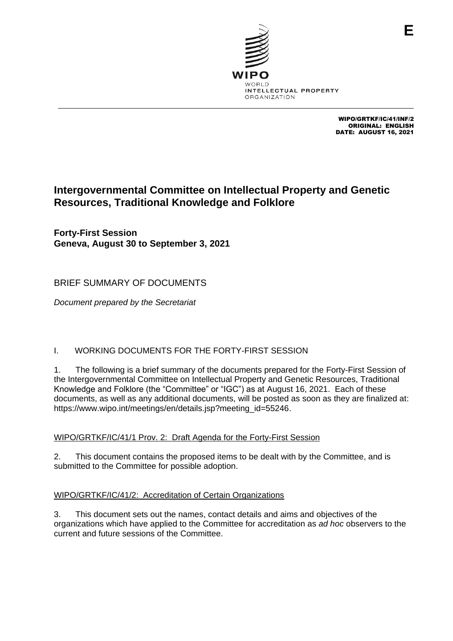

WIPO/GRTKF/IC/41/INF/2 ORIGINAL: ENGLISH DATE: AUGUST 16, 2021

# **Intergovernmental Committee on Intellectual Property and Genetic Resources, Traditional Knowledge and Folklore**

**Forty-First Session Geneva, August 30 to September 3, 2021**

# BRIEF SUMMARY OF DOCUMENTS

*Document prepared by the Secretariat*

# I. WORKING DOCUMENTS FOR THE FORTY-FIRST SESSION

1. The following is a brief summary of the documents prepared for the Forty-First Session of the Intergovernmental Committee on Intellectual Property and Genetic Resources, Traditional Knowledge and Folklore (the "Committee" or "IGC") as at August 16, 2021. Each of these documents, as well as any additional documents, will be posted as soon as they are finalized at: [https://www.wipo.int/meetings/en/details.jsp?meeting\\_id=55246.](https://www.wipo.int/meetings/en/details.jsp?meeting_id=55246)

## WIPO/GRTKF/IC/41/1 Prov. 2: Draft Agenda for the Forty-First Session

2. This document contains the proposed items to be dealt with by the Committee, and is submitted to the Committee for possible adoption.

## WIPO/GRTKF/IC/41/2: Accreditation of Certain Organizations

3. This document sets out the names, contact details and aims and objectives of the organizations which have applied to the Committee for accreditation as *ad hoc* observers to the current and future sessions of the Committee.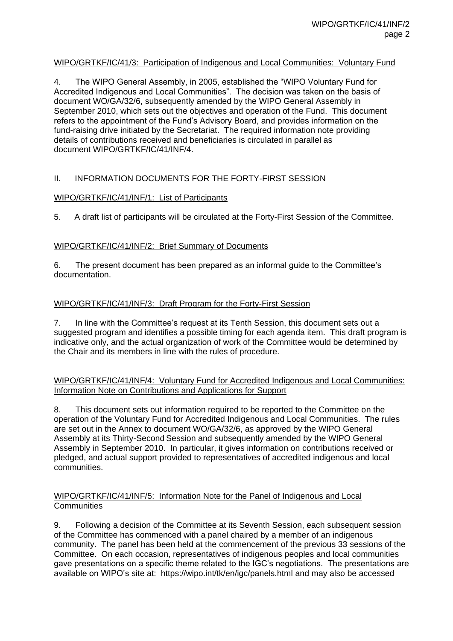## WIPO/GRTKF/IC/41/3: Participation of Indigenous and Local Communities: Voluntary Fund

4. The WIPO General Assembly, in 2005, established the "WIPO Voluntary Fund for Accredited Indigenous and Local Communities". The decision was taken on the basis of document WO/GA/32/6, subsequently amended by the WIPO General Assembly in September 2010, which sets out the objectives and operation of the Fund. This document refers to the appointment of the Fund's Advisory Board, and provides information on the fund-raising drive initiated by the Secretariat. The required information note providing details of contributions received and beneficiaries is circulated in parallel as document WIPO/GRTKF/IC/41/INF/4.

## II. INFORMATION DOCUMENTS FOR THE FORTY-FIRST SESSION

## WIPO/GRTKF/IC/41/INF/1: List of Participants

5. A draft list of participants will be circulated at the Forty-First Session of the Committee.

## WIPO/GRTKF/IC/41/INF/2: Brief Summary of Documents

6. The present document has been prepared as an informal guide to the Committee's documentation.

## WIPO/GRTKF/IC/41/INF/3: Draft Program for the Forty-First Session

7. In line with the Committee's request at its Tenth Session, this document sets out a suggested program and identifies a possible timing for each agenda item. This draft program is indicative only, and the actual organization of work of the Committee would be determined by the Chair and its members in line with the rules of procedure.

## WIPO/GRTKF/IC/41/INF/4: Voluntary Fund for Accredited Indigenous and Local Communities: Information Note on Contributions and Applications for Support

8. This document sets out information required to be reported to the Committee on the operation of the Voluntary Fund for Accredited Indigenous and Local Communities. The rules are set out in the Annex to document WO/GA/32/6, as approved by the WIPO General Assembly at its Thirty-Second Session and subsequently amended by the WIPO General Assembly in September 2010. In particular, it gives information on contributions received or pledged, and actual support provided to representatives of accredited indigenous and local communities.

## WIPO/GRTKF/IC/41/INF/5: Information Note for the Panel of Indigenous and Local **Communities**

9. Following a decision of the Committee at its Seventh Session, each subsequent session of the Committee has commenced with a panel chaired by a member of an indigenous community. The panel has been held at the commencement of the previous 33 sessions of the Committee. On each occasion, representatives of indigenous peoples and local communities gave presentations on a specific theme related to the IGC's negotiations. The presentations are available on WIPO's site at: <https://wipo.int/tk/en/igc/panels.html> and may also be accessed